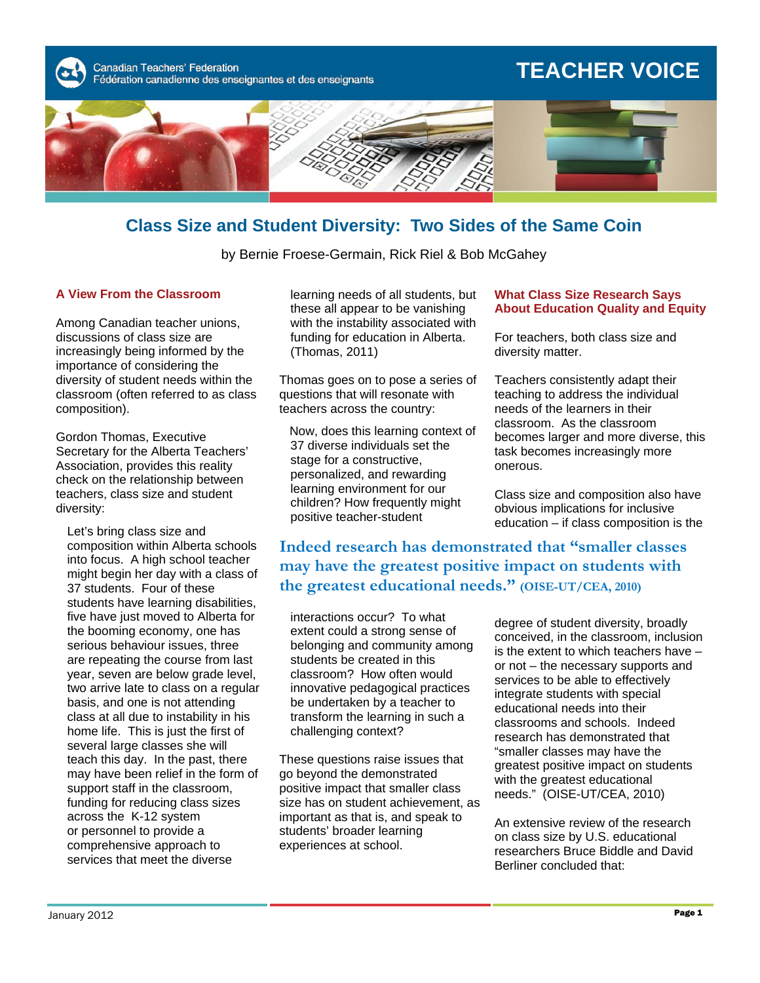Canadian Teachers' Federation Fédération canadienne des enseignantes et des enseignants

# **TEACHER VOICE**



### **Class Size and Student Diversity: Two Sides of the Same Coin**

by Bernie Froese-Germain, Rick Riel & Bob McGahey

#### **A View From the Classroom**

Among Canadian teacher unions, discussions of class size are increasingly being informed by the importance of considering the diversity of student needs within the classroom (often referred to as class composition).

Gordon Thomas, Executive Secretary for the Alberta Teachers' Association, provides this reality check on the relationship between teachers, class size and student diversity:

Let's bring class size and composition within Alberta schools into focus. A high school teacher might begin her day with a class of 37 students. Four of these students have learning disabilities, five have just moved to Alberta for the booming economy, one has serious behaviour issues, three are repeating the course from last year, seven are below grade level, two arrive late to class on a regular basis, and one is not attending class at all due to instability in his home life. This is just the first of several large classes she will teach this day. In the past, there may have been relief in the form of support staff in the classroom, funding for reducing class sizes across the K-12 system or personnel to provide a comprehensive approach to services that meet the diverse

learning needs of all students, but these all appear to be vanishing with the instability associated with funding for education in Alberta. (Thomas, 2011)

Thomas goes on to pose a series of questions that will resonate with teachers across the country:

 Now, does this learning context of 37 diverse individuals set the stage for a constructive, personalized, and rewarding learning environment for our children? How frequently might positive teacher-student

#### **What Class Size Research Says About Education Quality and Equity**

For teachers, both class size and diversity matter.

Teachers consistently adapt their teaching to address the individual needs of the learners in their classroom. As the classroom becomes larger and more diverse, this task becomes increasingly more onerous.

Class size and composition also have obvious implications for inclusive education – if class composition is the

**Indeed research has demonstrated that "smaller classes may have the greatest positive impact on students with the greatest educational needs." (OISE-UT/CEA, 2010)** 

interactions occur? To what extent could a strong sense of belonging and community among students be created in this classroom? How often would innovative pedagogical practices be undertaken by a teacher to transform the learning in such a challenging context?

These questions raise issues that go beyond the demonstrated positive impact that smaller class size has on student achievement, as important as that is, and speak to students' broader learning experiences at school.

degree of student diversity, broadly conceived, in the classroom, inclusion is the extent to which teachers have – or not – the necessary supports and services to be able to effectively integrate students with special educational needs into their classrooms and schools. Indeed research has demonstrated that "smaller classes may have the greatest positive impact on students with the greatest educational needs." (OISE-UT/CEA, 2010)

An extensive review of the research on class size by U.S. educational researchers Bruce Biddle and David Berliner concluded that: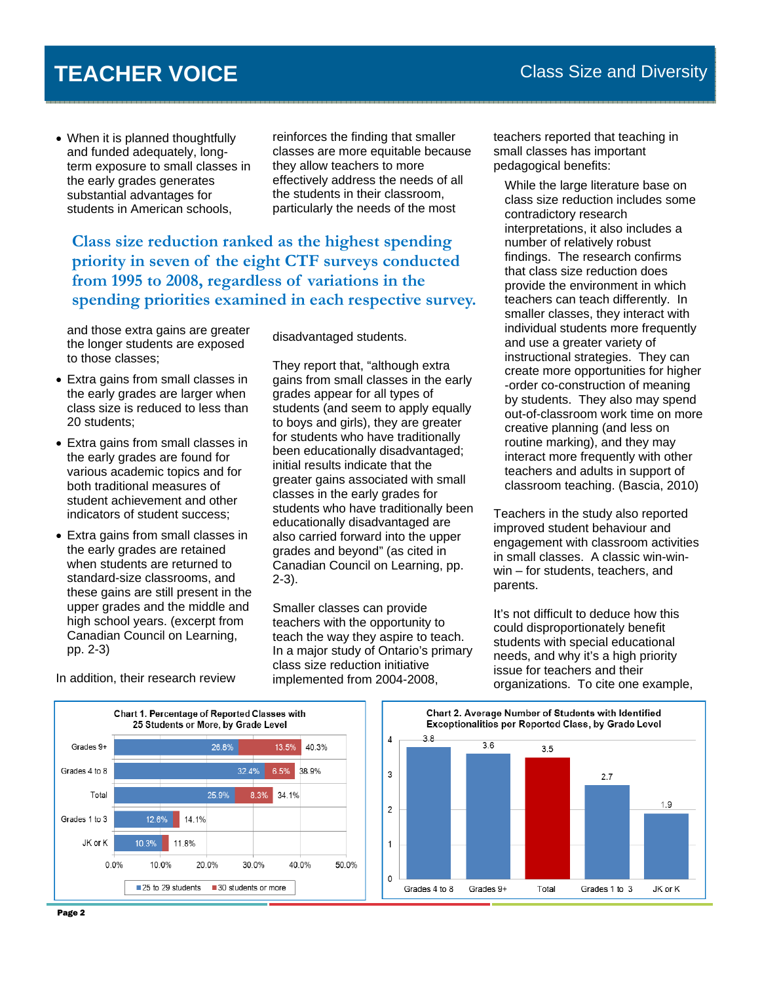## **TEACHER VOICE**

• When it is planned thoughtfully and funded adequately, longterm exposure to small classes in the early grades generates substantial advantages for students in American schools,

reinforces the finding that smaller classes are more equitable because they allow teachers to more effectively address the needs of all the students in their classroom, particularly the needs of the most

**Class size reduction ranked as the highest spending priority in seven of the eight CTF surveys conducted from 1995 to 2008, regardless of variations in the spending priorities examined in each respective survey.** 

and those extra gains are greater the longer students are exposed to those classes;

- Extra gains from small classes in the early grades are larger when class size is reduced to less than 20 students;
- Extra gains from small classes in the early grades are found for various academic topics and for both traditional measures of student achievement and other indicators of student success;
- Extra gains from small classes in the early grades are retained when students are returned to standard-size classrooms, and these gains are still present in the upper grades and the middle and high school years. (excerpt from Canadian Council on Learning, pp. 2-3)

disadvantaged students.

They report that, "although extra gains from small classes in the early grades appear for all types of students (and seem to apply equally to boys and girls), they are greater for students who have traditionally been educationally disadvantaged; initial results indicate that the greater gains associated with small classes in the early grades for students who have traditionally been educationally disadvantaged are also carried forward into the upper grades and beyond" (as cited in Canadian Council on Learning, pp. 2-3).

Smaller classes can provide teachers with the opportunity to teach the way they aspire to teach. In a major study of Ontario's primary class size reduction initiative implemented from 2004-2008,

teachers reported that teaching in small classes has important pedagogical benefits:

While the large literature base on class size reduction includes some contradictory research interpretations, it also includes a number of relatively robust findings. The research confirms that class size reduction does provide the environment in which teachers can teach differently. In smaller classes, they interact with individual students more frequently and use a greater variety of instructional strategies. They can create more opportunities for higher -order co-construction of meaning by students. They also may spend out-of-classroom work time on more creative planning (and less on routine marking), and they may interact more frequently with other teachers and adults in support of classroom teaching. (Bascia, 2010)

Teachers in the study also reported improved student behaviour and engagement with classroom activities in small classes. A classic win-winwin – for students, teachers, and parents.

It's not difficult to deduce how this could disproportionately benefit students with special educational needs, and why it's a high priority issue for teachers and their organizations. To cite one example,





In addition, their research review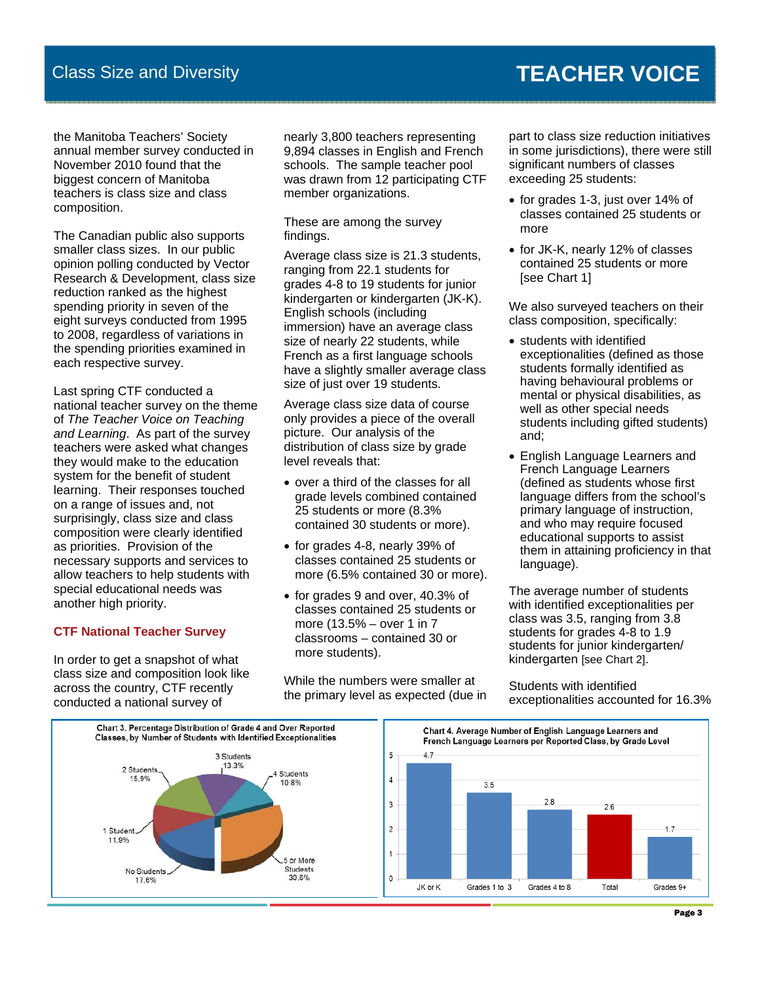## **TEACHER VOICE**

the Manitoba Teachers' Society annual member survey conducted in November 2010 found that the biggest concern of Manitoba teachers is class size and class composition.

The Canadian public also supports smaller class sizes. In our public opinion polling conducted by Vector Research & Development, class size reduction ranked as the highest spending priority in seven of the eight surveys conducted from 1995 to 2008, regardless of variations in the spending priorities examined in each respective survey.

Last spring CTF conducted a national teacher survey on the theme of *The Teacher Voice on Teaching and Learning*. As part of the survey teachers were asked what changes they would make to the education system for the benefit of student learning. Their responses touched on a range of issues and, not surprisingly, class size and class composition were clearly identified as priorities. Provision of the necessary supports and services to allow teachers to help students with special educational needs was another high priority.

### **CTF National Teacher Survey**

In order to get a snapshot of what class size and composition look like across the country, CTF recently conducted a national survey of

nearly 3,800 teachers representing 9,894 classes in English and French schools. The sample teacher pool was drawn from 12 participating CTF member organizations.

These are among the survey findings.

Average class size is 21.3 students, ranging from 22.1 students for grades 4-8 to 19 students for junior kindergarten or kindergarten (JK-K). English schools (including immersion) have an average class size of nearly 22 students, while French as a first language schools have a slightly smaller average class size of just over 19 students.

Average class size data of course only provides a piece of the overall picture. Our analysis of the distribution of class size by grade level reveals that:

- over a third of the classes for all grade levels combined contained 25 students or more (8.3% contained 30 students or more).
- for grades 4-8, nearly 39% of classes contained 25 students or more (6.5% contained 30 or more).
- for grades 9 and over, 40.3% of classes contained 25 students or more (13.5% – over 1 in 7 classrooms – contained 30 or more students).

While the numbers were smaller at the primary level as expected (due in part to class size reduction initiatives in some jurisdictions), there were still significant numbers of classes exceeding 25 students:

- for grades 1-3, just over 14% of classes contained 25 students or more
- for JK-K, nearly 12% of classes contained 25 students or more [see Chart 1]

We also surveyed teachers on their class composition, specifically:

- students with identified exceptionalities (defined as those students formally identified as having behavioural problems or mental or physical disabilities, as well as other special needs students including gifted students) and;
- English Language Learners and French Language Learners (defined as students whose first language differs from the school's primary language of instruction, and who may require focused educational supports to assist them in attaining proficiency in that language).

The average number of students with identified exceptionalities per class was 3.5, ranging from 3.8 students for grades 4-8 to 1.9 students for junior kindergarten/ kindergarten [see Chart 2].

Students with identified exceptionalities accounted for 16.3%